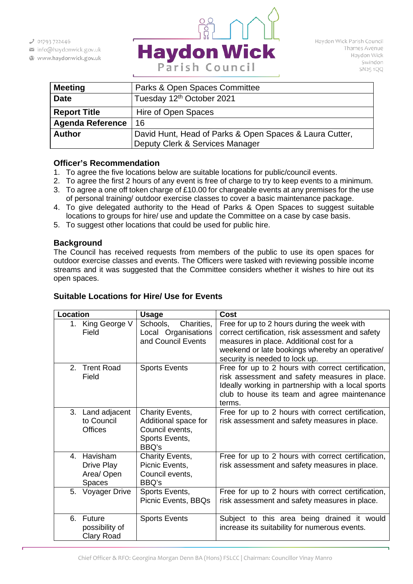$301793722446$ 

- info@haydonwick.gov.uk
- Www.haydonwick.gov.uk



Haydon Wick Parish Council Thames Avenue Haydon Wick Swindon SN25 1QQ

| <b>Meeting</b>          | Parks & Open Spaces Committee                           |  |
|-------------------------|---------------------------------------------------------|--|
| <b>Date</b>             | Tuesday 12th October 2021                               |  |
| <b>Report Title</b>     | Hire of Open Spaces                                     |  |
| <b>Agenda Reference</b> | 16                                                      |  |
| <b>Author</b>           | David Hunt, Head of Parks & Open Spaces & Laura Cutter, |  |
|                         | Deputy Clerk & Services Manager                         |  |

# **Officer's Recommendation**

- 1. To agree the five locations below are suitable locations for public/council events.
- 2. To agree the first 2 hours of any event is free of charge to try to keep events to a minimum.
- 3. To agree a one off token charge of £10.00 for chargeable events at any premises for the use of personal training/ outdoor exercise classes to cover a basic maintenance package.
- 4. To give delegated authority to the Head of Parks & Open Spaces to suggest suitable locations to groups for hire/ use and update the Committee on a case by case basis.
- 5. To suggest other locations that could be used for public hire.

### **Background**

The Council has received requests from members of the public to use its open spaces for outdoor exercise classes and events. The Officers were tasked with reviewing possible income streams and it was suggested that the Committee considers whether it wishes to hire out its open spaces.

# **Suitable Locations for Hire/ Use for Events**

| Location                                                                     | <b>Usage</b>                                                                          | <b>Cost</b>                                                                                                                                                                                                                      |
|------------------------------------------------------------------------------|---------------------------------------------------------------------------------------|----------------------------------------------------------------------------------------------------------------------------------------------------------------------------------------------------------------------------------|
| 1.<br>King George V<br>Field                                                 | Charities,<br>Schools,<br>Local Organisations<br>and Council Events                   | Free for up to 2 hours during the week with<br>correct certification, risk assessment and safety<br>measures in place. Additional cost for a<br>weekend or late bookings whereby an operative/<br>security is needed to lock up. |
| 2. Trent Road<br>Field                                                       | <b>Sports Events</b>                                                                  | Free for up to 2 hours with correct certification,<br>risk assessment and safety measures in place.<br>Ideally working in partnership with a local sports<br>club to house its team and agree maintenance<br>terms.              |
| 3. Land adjacent<br>to Council<br><b>Offices</b>                             | Charity Events,<br>Additional space for<br>Council events,<br>Sports Events,<br>BBQ's | Free for up to 2 hours with correct certification,<br>risk assessment and safety measures in place.                                                                                                                              |
| <b>Havisham</b><br>$\mathbf{4}$<br>Drive Play<br>Area/ Open<br><b>Spaces</b> | Charity Events,<br>Picnic Events,<br>Council events,<br>BBQ's                         | Free for up to 2 hours with correct certification,<br>risk assessment and safety measures in place.                                                                                                                              |
| Voyager Drive<br>5.                                                          | Sports Events,<br>Picnic Events, BBQs                                                 | Free for up to 2 hours with correct certification,<br>risk assessment and safety measures in place.                                                                                                                              |
| 6. Future<br>possibility of<br>Clary Road                                    | <b>Sports Events</b>                                                                  | Subject to this area being drained it would<br>increase its suitability for numerous events.                                                                                                                                     |